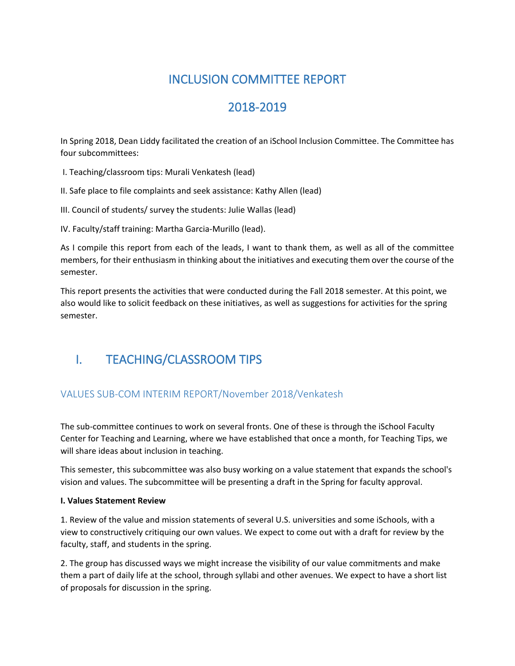# INCLUSION COMMITTEE REPORT

# 2018-2019

In Spring 2018, Dean Liddy facilitated the creation of an iSchool Inclusion Committee. The Committee has four subcommittees:

- I. Teaching/classroom tips: Murali Venkatesh (lead)
- II. Safe place to file complaints and seek assistance: Kathy Allen (lead)
- III. Council of students/ survey the students: Julie Wallas (lead)

IV. Faculty/staff training: Martha Garcia-Murillo (lead).

As I compile this report from each of the leads, I want to thank them, as well as all of the committee members, for their enthusiasm in thinking about the initiatives and executing them over the course of the semester.

This report presents the activities that were conducted during the Fall 2018 semester. At this point, we also would like to solicit feedback on these initiatives, as well as suggestions for activities for the spring semester.

# I. TEACHING/CLASSROOM TIPS

### VALUES SUB-COM INTERIM REPORT/November 2018/Venkatesh

The sub-committee continues to work on several fronts. One of these is through the iSchool Faculty Center for Teaching and Learning, where we have established that once a month, for Teaching Tips, we will share ideas about inclusion in teaching.

This semester, this subcommittee was also busy working on a value statement that expands the school's vision and values. The subcommittee will be presenting a draft in the Spring for faculty approval.

#### **I. Values Statement Review**

1. Review of the value and mission statements of several U.S. universities and some iSchools, with a view to constructively critiquing our own values. We expect to come out with a draft for review by the faculty, staff, and students in the spring.

2. The group has discussed ways we might increase the visibility of our value commitments and make them a part of daily life at the school, through syllabi and other avenues. We expect to have a short list of proposals for discussion in the spring.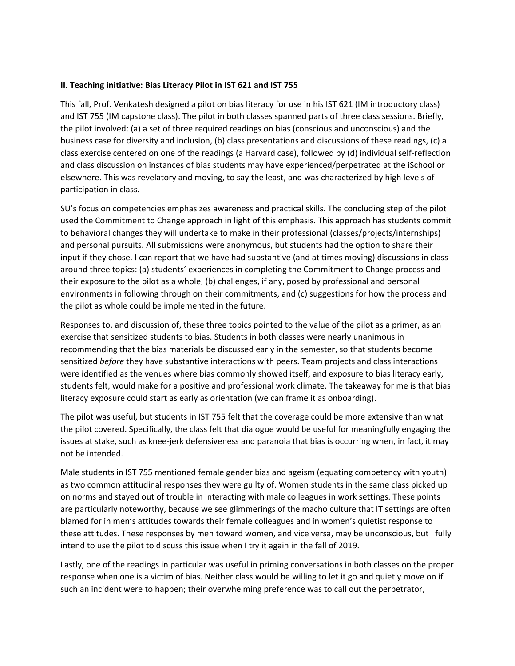#### **II. Teaching initiative: Bias Literacy Pilot in IST 621 and IST 755**

This fall, Prof. Venkatesh designed a pilot on bias literacy for use in his IST 621 (IM introductory class) and IST 755 (IM capstone class). The pilot in both classes spanned parts of three class sessions. Briefly, the pilot involved: (a) a set of three required readings on bias (conscious and unconscious) and the business case for diversity and inclusion, (b) class presentations and discussions of these readings, (c) a class exercise centered on one of the readings (a Harvard case), followed by (d) individual self-reflection and class discussion on instances of bias students may have experienced/perpetrated at the iSchool or elsewhere. This was revelatory and moving, to say the least, and was characterized by high levels of participation in class.

SU's focus on competencies emphasizes awareness and practical skills. The concluding step of the pilot used the Commitment to Change approach in light of this emphasis. This approach has students commit to behavioral changes they will undertake to make in their professional (classes/projects/internships) and personal pursuits. All submissions were anonymous, but students had the option to share their input if they chose. I can report that we have had substantive (and at times moving) discussions in class around three topics: (a) students' experiences in completing the Commitment to Change process and their exposure to the pilot as a whole, (b) challenges, if any, posed by professional and personal environments in following through on their commitments, and (c) suggestions for how the process and the pilot as whole could be implemented in the future.

Responses to, and discussion of, these three topics pointed to the value of the pilot as a primer, as an exercise that sensitized students to bias. Students in both classes were nearly unanimous in recommending that the bias materials be discussed early in the semester, so that students become sensitized *before* they have substantive interactions with peers. Team projects and class interactions were identified as the venues where bias commonly showed itself, and exposure to bias literacy early, students felt, would make for a positive and professional work climate. The takeaway for me is that bias literacy exposure could start as early as orientation (we can frame it as onboarding).

The pilot was useful, but students in IST 755 felt that the coverage could be more extensive than what the pilot covered. Specifically, the class felt that dialogue would be useful for meaningfully engaging the issues at stake, such as knee-jerk defensiveness and paranoia that bias is occurring when, in fact, it may not be intended.

Male students in IST 755 mentioned female gender bias and ageism (equating competency with youth) as two common attitudinal responses they were guilty of. Women students in the same class picked up on norms and stayed out of trouble in interacting with male colleagues in work settings. These points are particularly noteworthy, because we see glimmerings of the macho culture that IT settings are often blamed for in men's attitudes towards their female colleagues and in women's quietist response to these attitudes. These responses by men toward women, and vice versa, may be unconscious, but I fully intend to use the pilot to discuss this issue when I try it again in the fall of 2019.

Lastly, one of the readings in particular was useful in priming conversations in both classes on the proper response when one is a victim of bias. Neither class would be willing to let it go and quietly move on if such an incident were to happen; their overwhelming preference was to call out the perpetrator,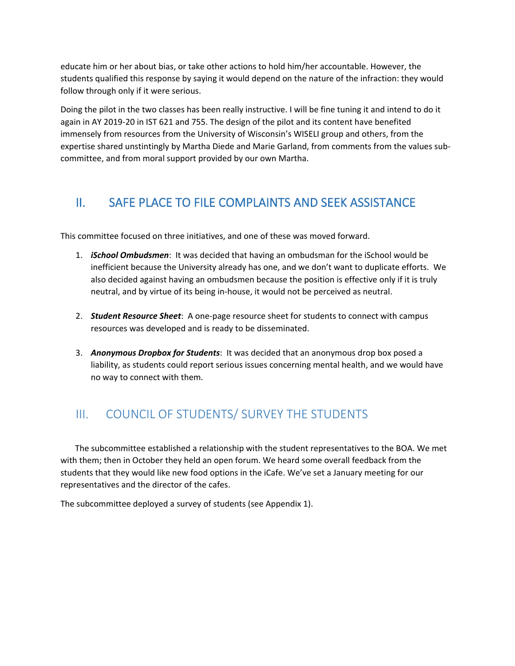educate him or her about bias, or take other actions to hold him/her accountable. However, the students qualified this response by saying it would depend on the nature of the infraction: they would follow through only if it were serious.

Doing the pilot in the two classes has been really instructive. I will be fine tuning it and intend to do it again in AY 2019-20 in IST 621 and 755. The design of the pilot and its content have benefited immensely from resources from the University of Wisconsin's WISELI group and others, from the expertise shared unstintingly by Martha Diede and Marie Garland, from comments from the values subcommittee, and from moral support provided by our own Martha.

# II. SAFE PLACE TO FILE COMPLAINTS AND SEEK ASSISTANCE

This committee focused on three initiatives, and one of these was moved forward.

- 1. *iSchool Ombudsmen*: It was decided that having an ombudsman for the iSchool would be inefficient because the University already has one, and we don't want to duplicate efforts. We also decided against having an ombudsmen because the position is effective only if it is truly neutral, and by virtue of its being in-house, it would not be perceived as neutral.
- 2. *Student Resource Sheet*: A one-page resource sheet for students to connect with campus resources was developed and is ready to be disseminated.
- 3. *Anonymous Dropbox for Students*: It was decided that an anonymous drop box posed a liability, as students could report serious issues concerning mental health, and we would have no way to connect with them.

## III. COUNCIL OF STUDENTS/ SURVEY THE STUDENTS

 The subcommittee established a relationship with the student representatives to the BOA. We met with them; then in October they held an open forum. We heard some overall feedback from the students that they would like new food options in the iCafe. We've set a January meeting for our representatives and the director of the cafes.

The subcommittee deployed a survey of students (see Appendix 1).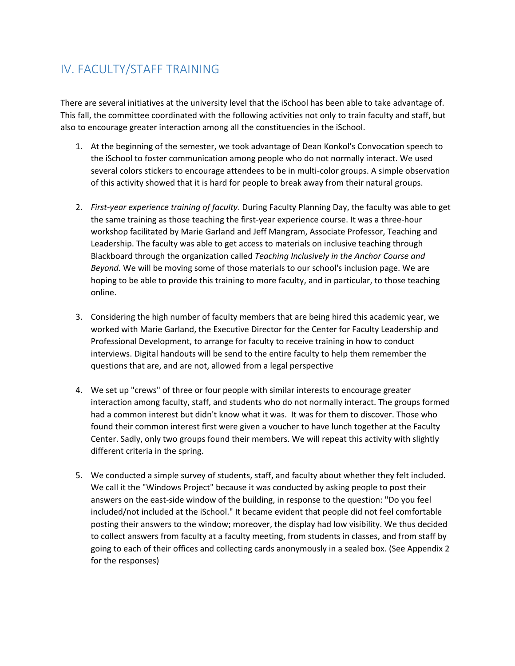# IV. FACULTY/STAFF TRAINING

There are several initiatives at the university level that the iSchool has been able to take advantage of. This fall, the committee coordinated with the following activities not only to train faculty and staff, but also to encourage greater interaction among all the constituencies in the iSchool.

- 1. At the beginning of the semester, we took advantage of Dean Konkol's Convocation speech to the iSchool to foster communication among people who do not normally interact. We used several colors stickers to encourage attendees to be in multi-color groups. A simple observation of this activity showed that it is hard for people to break away from their natural groups.
- 2. *First-year experience training of faculty*. During Faculty Planning Day, the faculty was able to get the same training as those teaching the first-year experience course. It was a three-hour workshop facilitated by Marie Garland and Jeff Mangram, Associate Professor, Teaching and Leadership. The faculty was able to get access to materials on inclusive teaching through Blackboard through the organization called *Teaching Inclusively in the Anchor Course and Beyond.* We will be moving some of those materials to our school's inclusion page. We are hoping to be able to provide this training to more faculty, and in particular, to those teaching online.
- 3. Considering the high number of faculty members that are being hired this academic year, we worked with Marie Garland, the Executive Director for the Center for Faculty Leadership and Professional Development, to arrange for faculty to receive training in how to conduct interviews. Digital handouts will be send to the entire faculty to help them remember the questions that are, and are not, allowed from a legal perspective
- 4. We set up "crews" of three or four people with similar interests to encourage greater interaction among faculty, staff, and students who do not normally interact. The groups formed had a common interest but didn't know what it was. It was for them to discover. Those who found their common interest first were given a voucher to have lunch together at the Faculty Center. Sadly, only two groups found their members. We will repeat this activity with slightly different criteria in the spring.
- 5. We conducted a simple survey of students, staff, and faculty about whether they felt included. We call it the "Windows Project" because it was conducted by asking people to post their answers on the east-side window of the building, in response to the question: "Do you feel included/not included at the iSchool." It became evident that people did not feel comfortable posting their answers to the window; moreover, the display had low visibility. We thus decided to collect answers from faculty at a faculty meeting, from students in classes, and from staff by going to each of their offices and collecting cards anonymously in a sealed box. (See Appendix 2 for the responses)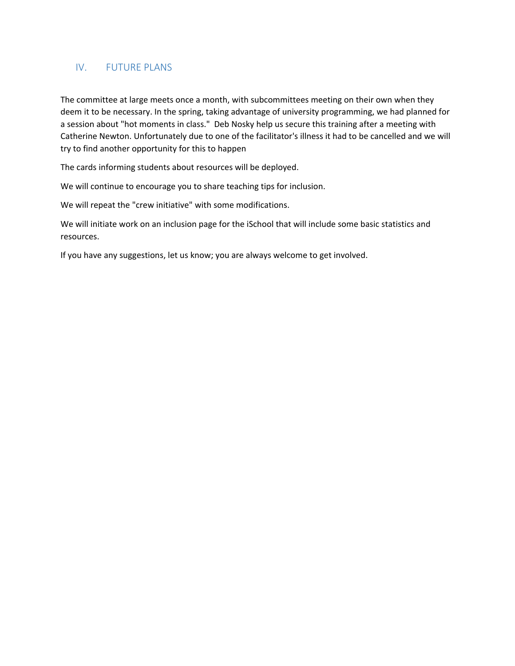### IV. FUTURE PLANS

The committee at large meets once a month, with subcommittees meeting on their own when they deem it to be necessary. In the spring, taking advantage of university programming, we had planned for a session about "hot moments in class." Deb Nosky help us secure this training after a meeting with Catherine Newton. Unfortunately due to one of the facilitator's illness it had to be cancelled and we will try to find another opportunity for this to happen

The cards informing students about resources will be deployed.

We will continue to encourage you to share teaching tips for inclusion.

We will repeat the "crew initiative" with some modifications.

We will initiate work on an inclusion page for the iSchool that will include some basic statistics and resources.

If you have any suggestions, let us know; you are always welcome to get involved.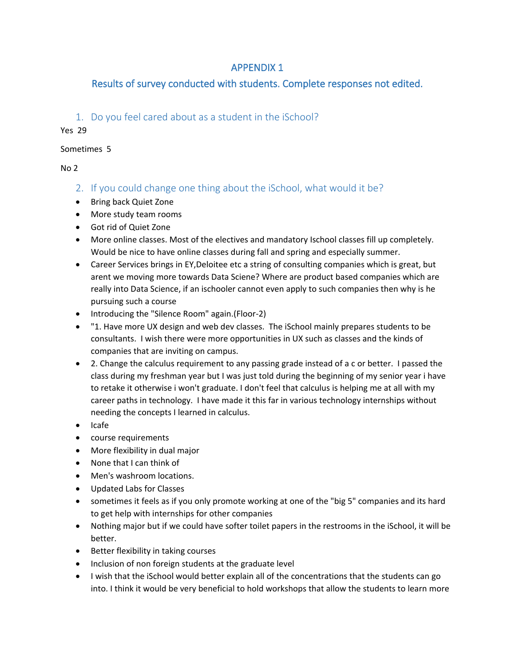## APPENDIX 1

## Results of survey conducted with students. Complete responses not edited.

### 1. Do you feel cared about as a student in the iSchool?

Yes 29

#### Sometimes 5

No 2

- 2. If you could change one thing about the iSchool, what would it be?
- Bring back Quiet Zone
- More study team rooms
- Got rid of Quiet Zone
- More online classes. Most of the electives and mandatory Ischool classes fill up completely. Would be nice to have online classes during fall and spring and especially summer.
- Career Services brings in EY,Deloitee etc a string of consulting companies which is great, but arent we moving more towards Data Sciene? Where are product based companies which are really into Data Science, if an ischooler cannot even apply to such companies then why is he pursuing such a course
- Introducing the "Silence Room" again.(Floor-2)
- "1. Have more UX design and web dev classes. The iSchool mainly prepares students to be consultants. I wish there were more opportunities in UX such as classes and the kinds of companies that are inviting on campus.
- 2. Change the calculus requirement to any passing grade instead of a c or better. I passed the class during my freshman year but I was just told during the beginning of my senior year i have to retake it otherwise i won't graduate. I don't feel that calculus is helping me at all with my career paths in technology. I have made it this far in various technology internships without needing the concepts I learned in calculus.
- Icafe
- course requirements
- More flexibility in dual major
- None that I can think of
- Men's washroom locations.
- Updated Labs for Classes
- sometimes it feels as if you only promote working at one of the "big 5" companies and its hard to get help with internships for other companies
- Nothing major but if we could have softer toilet papers in the restrooms in the iSchool, it will be better.
- Better flexibility in taking courses
- Inclusion of non foreign students at the graduate level
- I wish that the iSchool would better explain all of the concentrations that the students can go into. I think it would be very beneficial to hold workshops that allow the students to learn more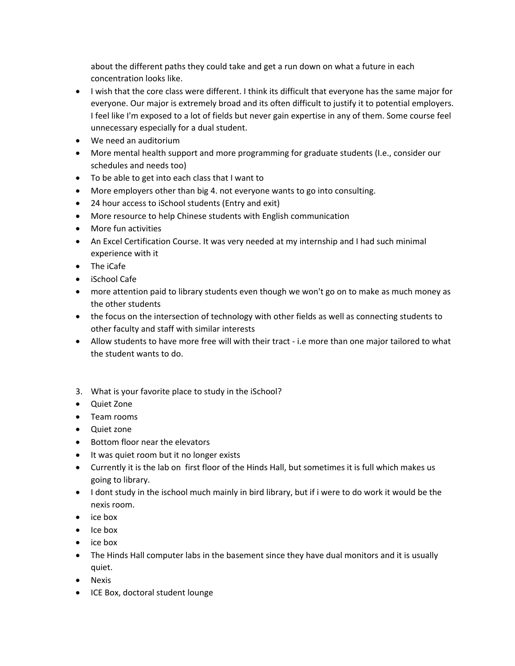about the different paths they could take and get a run down on what a future in each concentration looks like.

- I wish that the core class were different. I think its difficult that everyone has the same major for everyone. Our major is extremely broad and its often difficult to justify it to potential employers. I feel like I'm exposed to a lot of fields but never gain expertise in any of them. Some course feel unnecessary especially for a dual student.
- We need an auditorium
- More mental health support and more programming for graduate students (I.e., consider our schedules and needs too)
- To be able to get into each class that I want to
- More employers other than big 4. not everyone wants to go into consulting.
- 24 hour access to iSchool students (Entry and exit)
- More resource to help Chinese students with English communication
- More fun activities
- An Excel Certification Course. It was very needed at my internship and I had such minimal experience with it
- The iCafe
- iSchool Cafe
- more attention paid to library students even though we won't go on to make as much money as the other students
- the focus on the intersection of technology with other fields as well as connecting students to other faculty and staff with similar interests
- Allow students to have more free will with their tract i.e more than one major tailored to what the student wants to do.
- 3. What is your favorite place to study in the iSchool?
- Quiet Zone
- Team rooms
- Quiet zone
- Bottom floor near the elevators
- It was quiet room but it no longer exists
- Currently it is the lab on first floor of the Hinds Hall, but sometimes it is full which makes us going to library.
- I dont study in the ischool much mainly in bird library, but if i were to do work it would be the nexis room.
- ice box
- Ice box
- ice box
- The Hinds Hall computer labs in the basement since they have dual monitors and it is usually quiet.
- Nexis
- ICE Box, doctoral student lounge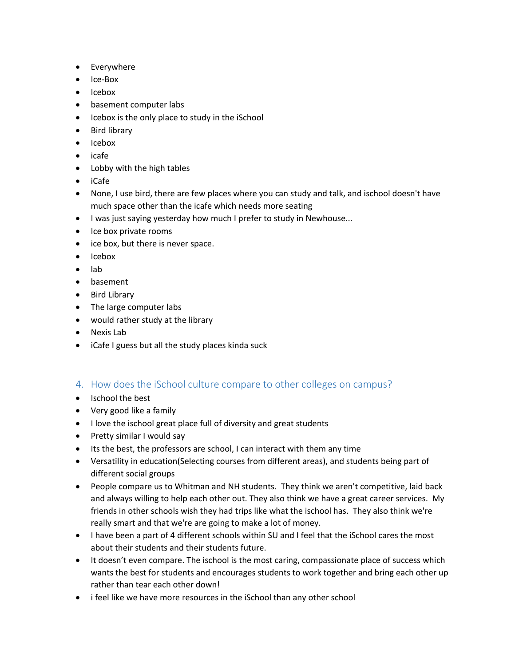- Everywhere
- Ice-Box
- Icebox
- basement computer labs
- Icebox is the only place to study in the iSchool
- Bird library
- Icebox
- icafe
- Lobby with the high tables
- iCafe
- None, I use bird, there are few places where you can study and talk, and ischool doesn't have much space other than the icafe which needs more seating
- I was just saying yesterday how much I prefer to study in Newhouse...
- Ice box private rooms
- ice box, but there is never space.
- Icebox
- lab
- basement
- Bird Library
- The large computer labs
- would rather study at the library
- Nexis Lab
- iCafe I guess but all the study places kinda suck

### 4. How does the iSchool culture compare to other colleges on campus?

- Ischool the best
- Very good like a family
- I love the ischool great place full of diversity and great students
- Pretty similar I would say
- Its the best, the professors are school, I can interact with them any time
- Versatility in education(Selecting courses from different areas), and students being part of different social groups
- People compare us to Whitman and NH students. They think we aren't competitive, laid back and always willing to help each other out. They also think we have a great career services. My friends in other schools wish they had trips like what the ischool has. They also think we're really smart and that we're are going to make a lot of money.
- I have been a part of 4 different schools within SU and I feel that the iSchool cares the most about their students and their students future.
- It doesn't even compare. The ischool is the most caring, compassionate place of success which wants the best for students and encourages students to work together and bring each other up rather than tear each other down!
- i feel like we have more resources in the iSchool than any other school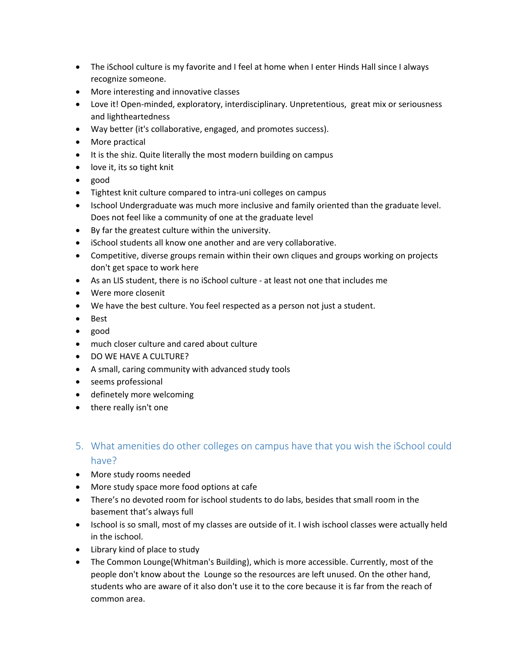- The iSchool culture is my favorite and I feel at home when I enter Hinds Hall since I always recognize someone.
- More interesting and innovative classes
- Love it! Open-minded, exploratory, interdisciplinary. Unpretentious, great mix or seriousness and lightheartedness
- Way better (it's collaborative, engaged, and promotes success).
- More practical
- It is the shiz. Quite literally the most modern building on campus
- love it, its so tight knit
- good
- Tightest knit culture compared to intra-uni colleges on campus
- Ischool Undergraduate was much more inclusive and family oriented than the graduate level. Does not feel like a community of one at the graduate level
- By far the greatest culture within the university.
- iSchool students all know one another and are very collaborative.
- Competitive, diverse groups remain within their own cliques and groups working on projects don't get space to work here
- As an LIS student, there is no iSchool culture at least not one that includes me
- Were more closenit
- We have the best culture. You feel respected as a person not just a student.
- Best
- good
- much closer culture and cared about culture
- DO WE HAVE A CULTURE?
- A small, caring community with advanced study tools
- seems professional
- definetely more welcoming
- there really isn't one
- 5. What amenities do other colleges on campus have that you wish the iSchool could have?
- More study rooms needed
- More study space more food options at cafe
- There's no devoted room for ischool students to do labs, besides that small room in the basement that's always full
- Ischool is so small, most of my classes are outside of it. I wish ischool classes were actually held in the ischool.
- Library kind of place to study
- The Common Lounge(Whitman's Building), which is more accessible. Currently, most of the people don't know about the Lounge so the resources are left unused. On the other hand, students who are aware of it also don't use it to the core because it is far from the reach of common area.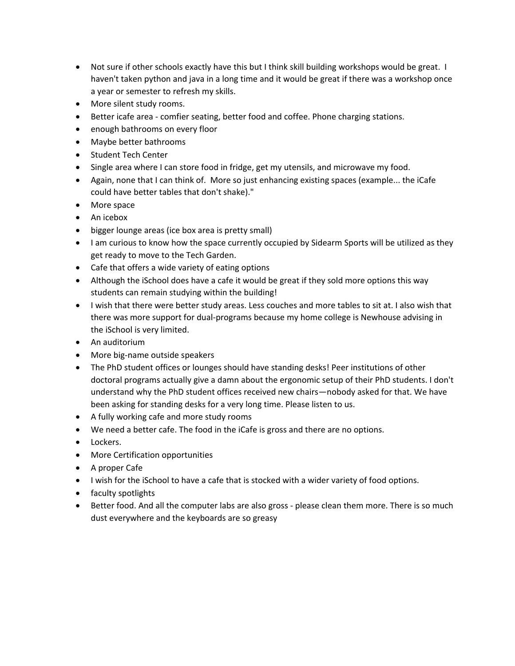- Not sure if other schools exactly have this but I think skill building workshops would be great. I haven't taken python and java in a long time and it would be great if there was a workshop once a year or semester to refresh my skills.
- More silent study rooms.
- Better icafe area comfier seating, better food and coffee. Phone charging stations.
- enough bathrooms on every floor
- Maybe better bathrooms
- Student Tech Center
- Single area where I can store food in fridge, get my utensils, and microwave my food.
- Again, none that I can think of. More so just enhancing existing spaces (example... the iCafe could have better tables that don't shake)."
- More space
- An icebox
- bigger lounge areas (ice box area is pretty small)
- I am curious to know how the space currently occupied by Sidearm Sports will be utilized as they get ready to move to the Tech Garden.
- Cafe that offers a wide variety of eating options
- Although the iSchool does have a cafe it would be great if they sold more options this way students can remain studying within the building!
- I wish that there were better study areas. Less couches and more tables to sit at. I also wish that there was more support for dual-programs because my home college is Newhouse advising in the iSchool is very limited.
- An auditorium
- More big-name outside speakers
- The PhD student offices or lounges should have standing desks! Peer institutions of other doctoral programs actually give a damn about the ergonomic setup of their PhD students. I don't understand why the PhD student offices received new chairs—nobody asked for that. We have been asking for standing desks for a very long time. Please listen to us.
- A fully working cafe and more study rooms
- We need a better cafe. The food in the iCafe is gross and there are no options.
- Lockers.
- More Certification opportunities
- A proper Cafe
- I wish for the iSchool to have a cafe that is stocked with a wider variety of food options.
- faculty spotlights
- Better food. And all the computer labs are also gross please clean them more. There is so much dust everywhere and the keyboards are so greasy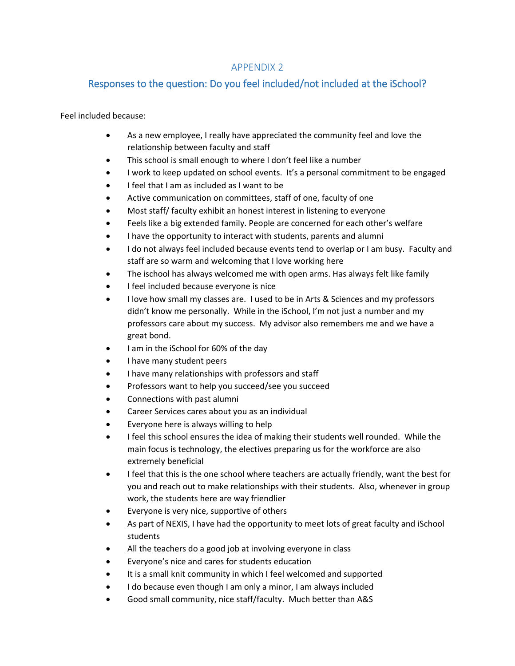### APPENDIX 2

### Responses to the question: Do you feel included/not included at the iSchool?

Feel included because:

- As a new employee, I really have appreciated the community feel and love the relationship between faculty and staff
- This school is small enough to where I don't feel like a number
- I work to keep updated on school events. It's a personal commitment to be engaged
- I feel that I am as included as I want to be
- Active communication on committees, staff of one, faculty of one
- Most staff/ faculty exhibit an honest interest in listening to everyone
- Feels like a big extended family. People are concerned for each other's welfare
- I have the opportunity to interact with students, parents and alumni
- I do not always feel included because events tend to overlap or I am busy. Faculty and staff are so warm and welcoming that I love working here
- The ischool has always welcomed me with open arms. Has always felt like family
- I feel included because everyone is nice
- I love how small my classes are. I used to be in Arts & Sciences and my professors didn't know me personally. While in the iSchool, I'm not just a number and my professors care about my success. My advisor also remembers me and we have a great bond.
- I am in the iSchool for 60% of the day
- I have many student peers
- I have many relationships with professors and staff
- Professors want to help you succeed/see you succeed
- Connections with past alumni
- Career Services cares about you as an individual
- Everyone here is always willing to help
- I feel this school ensures the idea of making their students well rounded. While the main focus is technology, the electives preparing us for the workforce are also extremely beneficial
- I feel that this is the one school where teachers are actually friendly, want the best for you and reach out to make relationships with their students. Also, whenever in group work, the students here are way friendlier
- Everyone is very nice, supportive of others
- As part of NEXIS, I have had the opportunity to meet lots of great faculty and iSchool students
- All the teachers do a good job at involving everyone in class
- Everyone's nice and cares for students education
- It is a small knit community in which I feel welcomed and supported
- I do because even though I am only a minor, I am always included
- Good small community, nice staff/faculty. Much better than A&S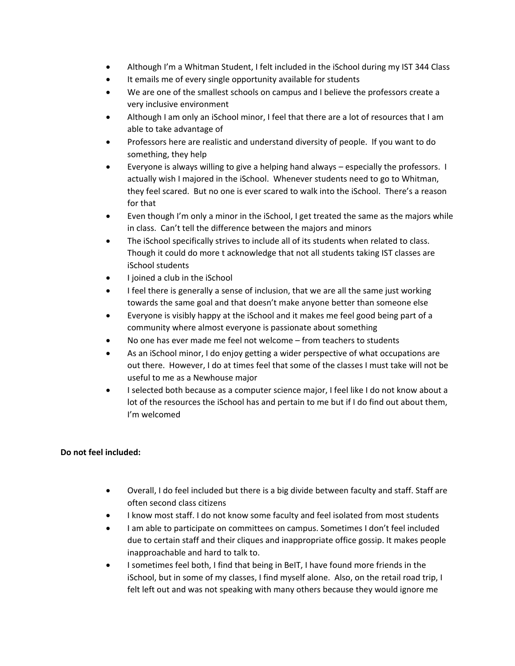- Although I'm a Whitman Student, I felt included in the iSchool during my IST 344 Class
- It emails me of every single opportunity available for students
- We are one of the smallest schools on campus and I believe the professors create a very inclusive environment
- Although I am only an iSchool minor, I feel that there are a lot of resources that I am able to take advantage of
- Professors here are realistic and understand diversity of people. If you want to do something, they help
- Everyone is always willing to give a helping hand always especially the professors. I actually wish I majored in the iSchool. Whenever students need to go to Whitman, they feel scared. But no one is ever scared to walk into the iSchool. There's a reason for that
- Even though I'm only a minor in the iSchool, I get treated the same as the majors while in class. Can't tell the difference between the majors and minors
- The iSchool specifically strives to include all of its students when related to class. Though it could do more t acknowledge that not all students taking IST classes are iSchool students
- I joined a club in the iSchool
- I feel there is generally a sense of inclusion, that we are all the same just working towards the same goal and that doesn't make anyone better than someone else
- Everyone is visibly happy at the iSchool and it makes me feel good being part of a community where almost everyone is passionate about something
- No one has ever made me feel not welcome from teachers to students
- As an iSchool minor, I do enjoy getting a wider perspective of what occupations are out there. However, I do at times feel that some of the classes I must take will not be useful to me as a Newhouse major
- I selected both because as a computer science major, I feel like I do not know about a lot of the resources the iSchool has and pertain to me but if I do find out about them, I'm welcomed

### **Do not feel included:**

- Overall, I do feel included but there is a big divide between faculty and staff. Staff are often second class citizens
- I know most staff. I do not know some faculty and feel isolated from most students
- I am able to participate on committees on campus. Sometimes I don't feel included due to certain staff and their cliques and inappropriate office gossip. It makes people inapproachable and hard to talk to.
- I sometimes feel both, I find that being in BeIT, I have found more friends in the iSchool, but in some of my classes, I find myself alone. Also, on the retail road trip, I felt left out and was not speaking with many others because they would ignore me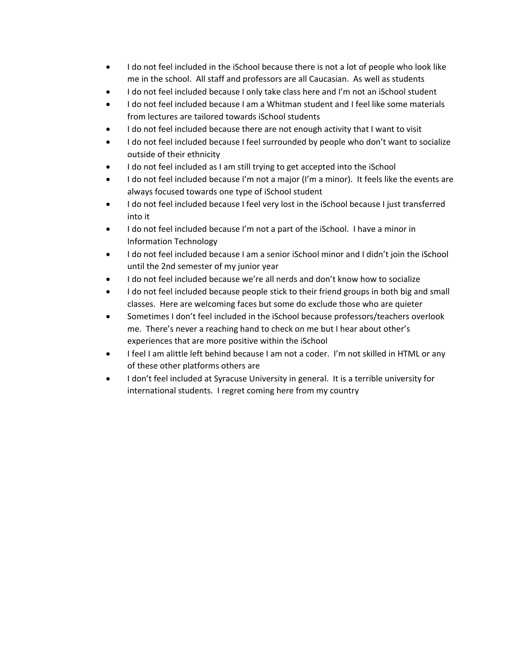- I do not feel included in the iSchool because there is not a lot of people who look like me in the school. All staff and professors are all Caucasian. As well as students
- I do not feel included because I only take class here and I'm not an iSchool student
- I do not feel included because I am a Whitman student and I feel like some materials from lectures are tailored towards iSchool students
- I do not feel included because there are not enough activity that I want to visit
- I do not feel included because I feel surrounded by people who don't want to socialize outside of their ethnicity
- I do not feel included as I am still trying to get accepted into the iSchool
- I do not feel included because I'm not a major (I'm a minor). It feels like the events are always focused towards one type of iSchool student
- I do not feel included because I feel very lost in the iSchool because I just transferred into it
- I do not feel included because I'm not a part of the iSchool. I have a minor in Information Technology
- I do not feel included because I am a senior iSchool minor and I didn't join the iSchool until the 2nd semester of my junior year
- I do not feel included because we're all nerds and don't know how to socialize
- I do not feel included because people stick to their friend groups in both big and small classes. Here are welcoming faces but some do exclude those who are quieter
- Sometimes I don't feel included in the iSchool because professors/teachers overlook me. There's never a reaching hand to check on me but I hear about other's experiences that are more positive within the iSchool
- I feel I am alittle left behind because I am not a coder. I'm not skilled in HTML or any of these other platforms others are
- I don't feel included at Syracuse University in general. It is a terrible university for international students. I regret coming here from my country